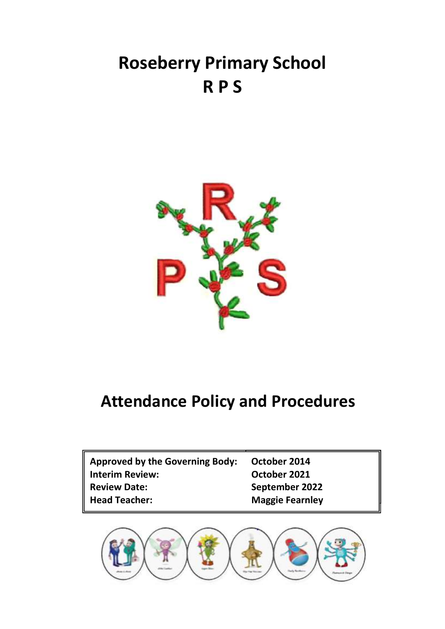# **Roseberry Primary School R P S**



## **Attendance Policy and Procedures**

| <b>Approved by the Governing Body:</b> | October 2014           |
|----------------------------------------|------------------------|
| <b>Interim Review:</b>                 | October 2021           |
| <b>Review Date:</b>                    | September 2022         |
| <b>Head Teacher:</b>                   | <b>Maggie Fearnley</b> |

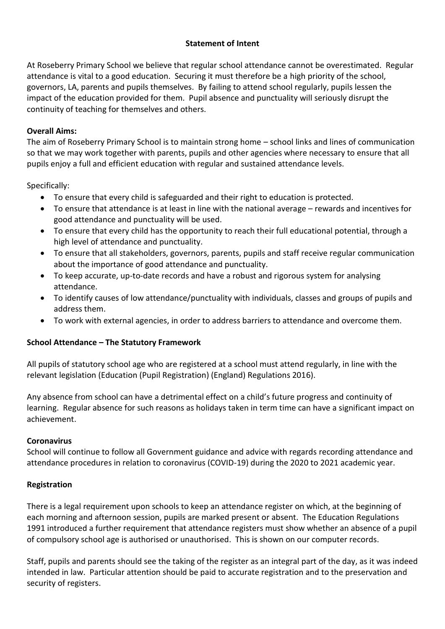## **Statement of Intent**

At Roseberry Primary School we believe that regular school attendance cannot be overestimated. Regular attendance is vital to a good education. Securing it must therefore be a high priority of the school, governors, LA, parents and pupils themselves. By failing to attend school regularly, pupils lessen the impact of the education provided for them. Pupil absence and punctuality will seriously disrupt the continuity of teaching for themselves and others.

## **Overall Aims:**

The aim of Roseberry Primary School is to maintain strong home – school links and lines of communication so that we may work together with parents, pupils and other agencies where necessary to ensure that all pupils enjoy a full and efficient education with regular and sustained attendance levels.

Specifically:

- To ensure that every child is safeguarded and their right to education is protected.
- To ensure that attendance is at least in line with the national average rewards and incentives for good attendance and punctuality will be used.
- To ensure that every child has the opportunity to reach their full educational potential, through a high level of attendance and punctuality.
- To ensure that all stakeholders, governors, parents, pupils and staff receive regular communication about the importance of good attendance and punctuality.
- To keep accurate, up-to-date records and have a robust and rigorous system for analysing attendance.
- To identify causes of low attendance/punctuality with individuals, classes and groups of pupils and address them.
- To work with external agencies, in order to address barriers to attendance and overcome them.

## **School Attendance – The Statutory Framework**

All pupils of statutory school age who are registered at a school must attend regularly, in line with the relevant legislation (Education (Pupil Registration) (England) Regulations 2016).

Any absence from school can have a detrimental effect on a child's future progress and continuity of learning. Regular absence for such reasons as holidays taken in term time can have a significant impact on achievement.

## **Coronavirus**

School will continue to follow all Government guidance and advice with regards recording attendance and attendance procedures in relation to coronavirus (COVID-19) during the 2020 to 2021 academic year.

## **Registration**

There is a legal requirement upon schools to keep an attendance register on which, at the beginning of each morning and afternoon session, pupils are marked present or absent. The Education Regulations 1991 introduced a further requirement that attendance registers must show whether an absence of a pupil of compulsory school age is authorised or unauthorised. This is shown on our computer records.

Staff, pupils and parents should see the taking of the register as an integral part of the day, as it was indeed intended in law. Particular attention should be paid to accurate registration and to the preservation and security of registers.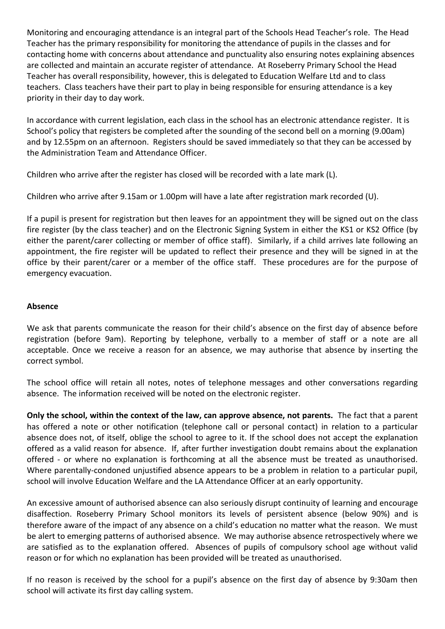Monitoring and encouraging attendance is an integral part of the Schools Head Teacher's role. The Head Teacher has the primary responsibility for monitoring the attendance of pupils in the classes and for contacting home with concerns about attendance and punctuality also ensuring notes explaining absences are collected and maintain an accurate register of attendance. At Roseberry Primary School the Head Teacher has overall responsibility, however, this is delegated to Education Welfare Ltd and to class teachers. Class teachers have their part to play in being responsible for ensuring attendance is a key priority in their day to day work.

In accordance with current legislation, each class in the school has an electronic attendance register. It is School's policy that registers be completed after the sounding of the second bell on a morning (9.00am) and by 12.55pm on an afternoon. Registers should be saved immediately so that they can be accessed by the Administration Team and Attendance Officer.

Children who arrive after the register has closed will be recorded with a late mark (L).

Children who arrive after 9.15am or 1.00pm will have a late after registration mark recorded (U).

If a pupil is present for registration but then leaves for an appointment they will be signed out on the class fire register (by the class teacher) and on the Electronic Signing System in either the KS1 or KS2 Office (by either the parent/carer collecting or member of office staff). Similarly, if a child arrives late following an appointment, the fire register will be updated to reflect their presence and they will be signed in at the office by their parent/carer or a member of the office staff. These procedures are for the purpose of emergency evacuation.

#### **Absence**

We ask that parents communicate the reason for their child's absence on the first day of absence before registration (before 9am). Reporting by telephone, verbally to a member of staff or a note are all acceptable. Once we receive a reason for an absence, we may authorise that absence by inserting the correct symbol.

The school office will retain all notes, notes of telephone messages and other conversations regarding absence. The information received will be noted on the electronic register.

**Only the school, within the context of the law, can approve absence, not parents.** The fact that a parent has offered a note or other notification (telephone call or personal contact) in relation to a particular absence does not, of itself, oblige the school to agree to it. If the school does not accept the explanation offered as a valid reason for absence. If, after further investigation doubt remains about the explanation offered - or where no explanation is forthcoming at all the absence must be treated as unauthorised. Where parentally-condoned unjustified absence appears to be a problem in relation to a particular pupil, school will involve Education Welfare and the LA Attendance Officer at an early opportunity.

An excessive amount of authorised absence can also seriously disrupt continuity of learning and encourage disaffection. Roseberry Primary School monitors its levels of persistent absence (below 90%) and is therefore aware of the impact of any absence on a child's education no matter what the reason. We must be alert to emerging patterns of authorised absence. We may authorise absence retrospectively where we are satisfied as to the explanation offered. Absences of pupils of compulsory school age without valid reason or for which no explanation has been provided will be treated as unauthorised.

If no reason is received by the school for a pupil's absence on the first day of absence by 9:30am then school will activate its first day calling system.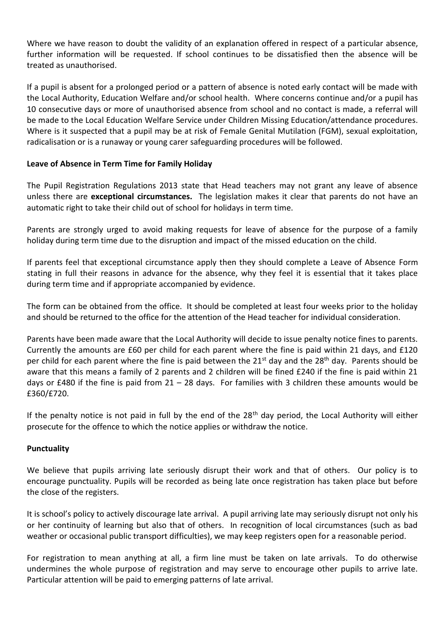Where we have reason to doubt the validity of an explanation offered in respect of a particular absence, further information will be requested. If school continues to be dissatisfied then the absence will be treated as unauthorised.

If a pupil is absent for a prolonged period or a pattern of absence is noted early contact will be made with the Local Authority, Education Welfare and/or school health. Where concerns continue and/or a pupil has 10 consecutive days or more of unauthorised absence from school and no contact is made, a referral will be made to the Local Education Welfare Service under Children Missing Education/attendance procedures. Where is it suspected that a pupil may be at risk of Female Genital Mutilation (FGM), sexual exploitation, radicalisation or is a runaway or young carer safeguarding procedures will be followed.

## **Leave of Absence in Term Time for Family Holiday**

The Pupil Registration Regulations 2013 state that Head teachers may not grant any leave of absence unless there are **exceptional circumstances.** The legislation makes it clear that parents do not have an automatic right to take their child out of school for holidays in term time.

Parents are strongly urged to avoid making requests for leave of absence for the purpose of a family holiday during term time due to the disruption and impact of the missed education on the child.

If parents feel that exceptional circumstance apply then they should complete a Leave of Absence Form stating in full their reasons in advance for the absence, why they feel it is essential that it takes place during term time and if appropriate accompanied by evidence.

The form can be obtained from the office. It should be completed at least four weeks prior to the holiday and should be returned to the office for the attention of the Head teacher for individual consideration.

Parents have been made aware that the Local Authority will decide to issue penalty notice fines to parents. Currently the amounts are £60 per child for each parent where the fine is paid within 21 days, and £120 per child for each parent where the fine is paid between the 21<sup>st</sup> day and the 28<sup>th</sup> day. Parents should be aware that this means a family of 2 parents and 2 children will be fined £240 if the fine is paid within 21 days or £480 if the fine is paid from  $21 - 28$  days. For families with 3 children these amounts would be £360/£720.

If the penalty notice is not paid in full by the end of the 28<sup>th</sup> day period, the Local Authority will either prosecute for the offence to which the notice applies or withdraw the notice.

#### **Punctuality**

We believe that pupils arriving late seriously disrupt their work and that of others. Our policy is to encourage punctuality. Pupils will be recorded as being late once registration has taken place but before the close of the registers.

It is school's policy to actively discourage late arrival. A pupil arriving late may seriously disrupt not only his or her continuity of learning but also that of others. In recognition of local circumstances (such as bad weather or occasional public transport difficulties), we may keep registers open for a reasonable period.

For registration to mean anything at all, a firm line must be taken on late arrivals. To do otherwise undermines the whole purpose of registration and may serve to encourage other pupils to arrive late. Particular attention will be paid to emerging patterns of late arrival.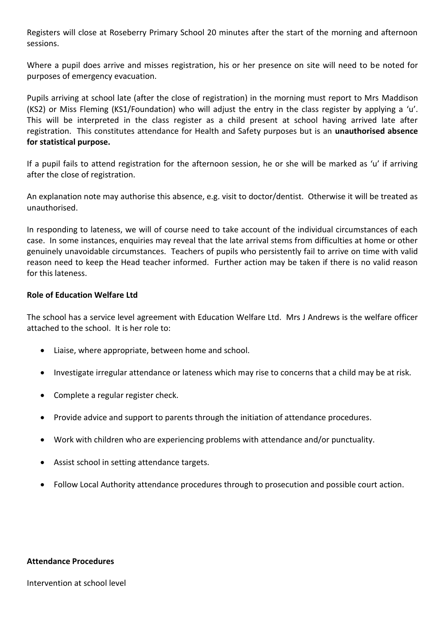Registers will close at Roseberry Primary School 20 minutes after the start of the morning and afternoon sessions.

Where a pupil does arrive and misses registration, his or her presence on site will need to be noted for purposes of emergency evacuation.

Pupils arriving at school late (after the close of registration) in the morning must report to Mrs Maddison (KS2) or Miss Fleming (KS1/Foundation) who will adjust the entry in the class register by applying a 'u'. This will be interpreted in the class register as a child present at school having arrived late after registration. This constitutes attendance for Health and Safety purposes but is an **unauthorised absence for statistical purpose.**

If a pupil fails to attend registration for the afternoon session, he or she will be marked as 'u' if arriving after the close of registration.

An explanation note may authorise this absence, e.g. visit to doctor/dentist. Otherwise it will be treated as unauthorised.

In responding to lateness, we will of course need to take account of the individual circumstances of each case. In some instances, enquiries may reveal that the late arrival stems from difficulties at home or other genuinely unavoidable circumstances. Teachers of pupils who persistently fail to arrive on time with valid reason need to keep the Head teacher informed. Further action may be taken if there is no valid reason for this lateness.

#### **Role of Education Welfare Ltd**

The school has a service level agreement with Education Welfare Ltd. Mrs J Andrews is the welfare officer attached to the school. It is her role to:

- Liaise, where appropriate, between home and school.
- Investigate irregular attendance or lateness which may rise to concerns that a child may be at risk.
- Complete a regular register check.
- Provide advice and support to parents through the initiation of attendance procedures.
- Work with children who are experiencing problems with attendance and/or punctuality.
- Assist school in setting attendance targets.
- Follow Local Authority attendance procedures through to prosecution and possible court action.

#### **Attendance Procedures**

Intervention at school level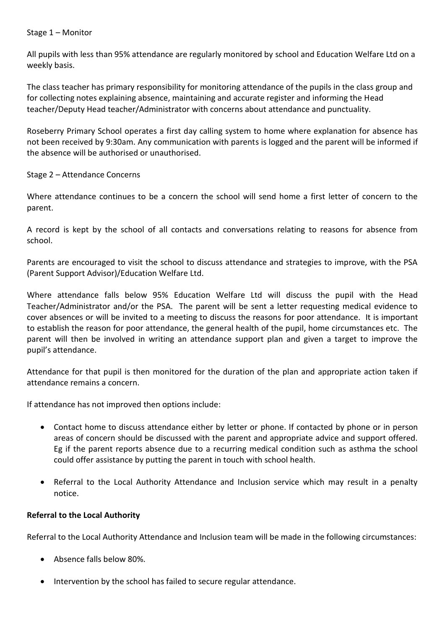#### Stage 1 – Monitor

All pupils with less than 95% attendance are regularly monitored by school and Education Welfare Ltd on a weekly basis.

The class teacher has primary responsibility for monitoring attendance of the pupils in the class group and for collecting notes explaining absence, maintaining and accurate register and informing the Head teacher/Deputy Head teacher/Administrator with concerns about attendance and punctuality.

Roseberry Primary School operates a first day calling system to home where explanation for absence has not been received by 9:30am. Any communication with parents is logged and the parent will be informed if the absence will be authorised or unauthorised.

## Stage 2 – Attendance Concerns

Where attendance continues to be a concern the school will send home a first letter of concern to the parent.

A record is kept by the school of all contacts and conversations relating to reasons for absence from school.

Parents are encouraged to visit the school to discuss attendance and strategies to improve, with the PSA (Parent Support Advisor)/Education Welfare Ltd.

Where attendance falls below 95% Education Welfare Ltd will discuss the pupil with the Head Teacher/Administrator and/or the PSA. The parent will be sent a letter requesting medical evidence to cover absences or will be invited to a meeting to discuss the reasons for poor attendance. It is important to establish the reason for poor attendance, the general health of the pupil, home circumstances etc. The parent will then be involved in writing an attendance support plan and given a target to improve the pupil's attendance.

Attendance for that pupil is then monitored for the duration of the plan and appropriate action taken if attendance remains a concern.

If attendance has not improved then options include:

- Contact home to discuss attendance either by letter or phone. If contacted by phone or in person areas of concern should be discussed with the parent and appropriate advice and support offered. Eg if the parent reports absence due to a recurring medical condition such as asthma the school could offer assistance by putting the parent in touch with school health.
- Referral to the Local Authority Attendance and Inclusion service which may result in a penalty notice.

#### **Referral to the Local Authority**

Referral to the Local Authority Attendance and Inclusion team will be made in the following circumstances:

- Absence falls below 80%.
- Intervention by the school has failed to secure regular attendance.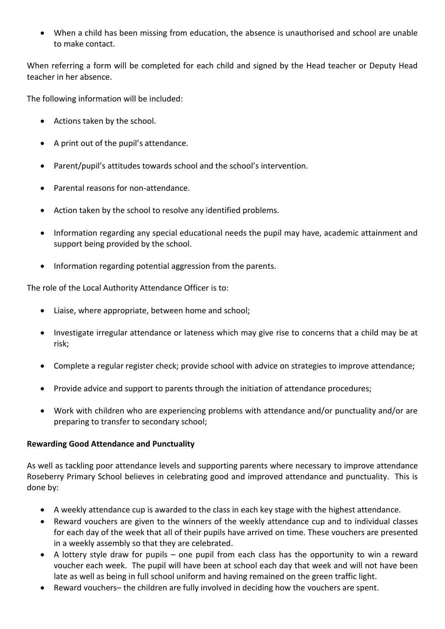• When a child has been missing from education, the absence is unauthorised and school are unable to make contact.

When referring a form will be completed for each child and signed by the Head teacher or Deputy Head teacher in her absence.

The following information will be included:

- Actions taken by the school.
- A print out of the pupil's attendance.
- Parent/pupil's attitudes towards school and the school's intervention.
- Parental reasons for non-attendance.
- Action taken by the school to resolve any identified problems.
- Information regarding any special educational needs the pupil may have, academic attainment and support being provided by the school.
- Information regarding potential aggression from the parents.

The role of the Local Authority Attendance Officer is to:

- Liaise, where appropriate, between home and school;
- Investigate irregular attendance or lateness which may give rise to concerns that a child may be at risk;
- Complete a regular register check; provide school with advice on strategies to improve attendance;
- Provide advice and support to parents through the initiation of attendance procedures;
- Work with children who are experiencing problems with attendance and/or punctuality and/or are preparing to transfer to secondary school;

## **Rewarding Good Attendance and Punctuality**

As well as tackling poor attendance levels and supporting parents where necessary to improve attendance Roseberry Primary School believes in celebrating good and improved attendance and punctuality. This is done by:

- A weekly attendance cup is awarded to the class in each key stage with the highest attendance.
- Reward vouchers are given to the winners of the weekly attendance cup and to individual classes for each day of the week that all of their pupils have arrived on time. These vouchers are presented in a weekly assembly so that they are celebrated.
- A lottery style draw for pupils one pupil from each class has the opportunity to win a reward voucher each week. The pupil will have been at school each day that week and will not have been late as well as being in full school uniform and having remained on the green traffic light.
- Reward vouchers– the children are fully involved in deciding how the vouchers are spent.